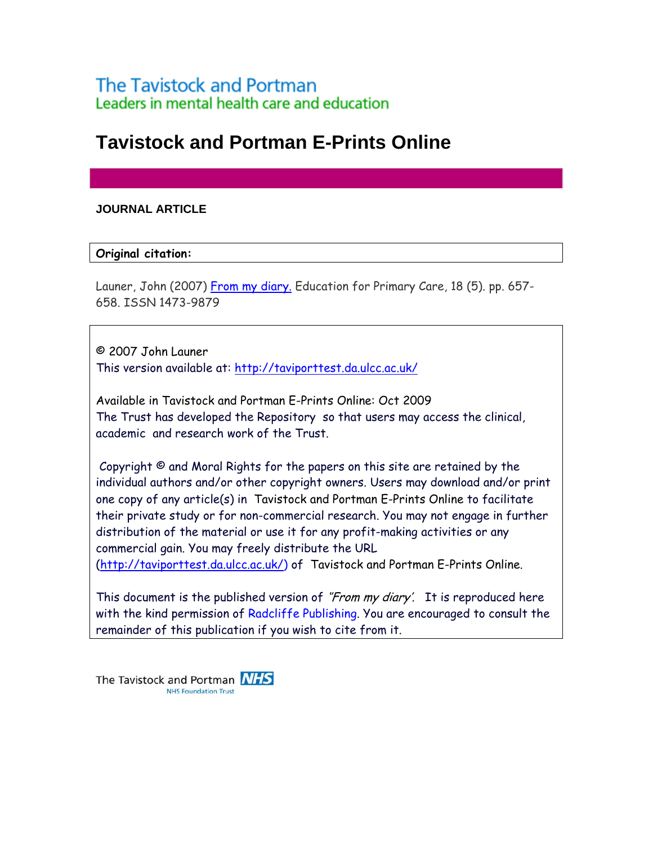# **Tavistock and Portman E-Prints Online**

# **JOURNAL ARTICLE**

### **Original citation:**

Launer, John (2007) [From my diary.](http://taviporttest.da.ulcc.ac.uk/150/) Education for Primary Care, 18 (5). pp. 657-658. ISSN 1473-9879

© 2007 John Launer This version available at:<http://taviporttest.da.ulcc.ac.uk/>

Available in Tavistock and Portman E-Prints Online: Oct 2009 The Trust has developed the Repository so that users may access the clinical, academic and research work of the Trust.

 Copyright © and Moral Rights for the papers on this site are retained by the individual authors and/or other copyright owners. Users may download and/or print one copy of any article(s) in Tavistock and Portman E-Prints Online to facilitate their private study or for non-commercial research. You may not engage in further distribution of the material or use it for any profit-making activities or any commercial gain. You may freely distribute the URL [\(http://taviporttest.da.ulcc.ac.uk/\)](http://http//taviporttest.da.ulcc.ac.uk/) of Tavistock and Portman E-Prints Online.

This document is the published version of "From my diary'. It is reproduced here with the kind permission of Radcliffe Publishing. You are encouraged to consult the remainder of this publication if you wish to cite from it.

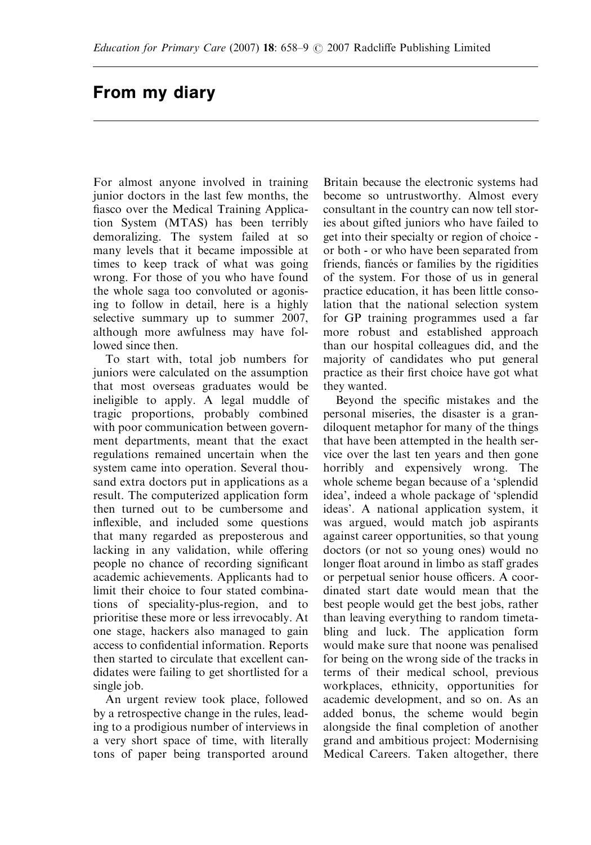# From my diary

For almost anyone involved in training junior doctors in the last few months, the fiasco over the Medical Training Application System (MTAS) has been terribly demoralizing. The system failed at so many levels that it became impossible at times to keep track of what was going wrong. For those of you who have found the whole saga too convoluted or agonising to follow in detail, here is a highly selective summary up to summer 2007, although more awfulness may have followed since then.

To start with, total job numbers for juniors were calculated on the assumption that most overseas graduates would be ineligible to apply. A legal muddle of tragic proportions, probably combined with poor communication between government departments, meant that the exact regulations remained uncertain when the system came into operation. Several thousand extra doctors put in applications as a result. The computerized application form then turned out to be cumbersome and inflexible, and included some questions that many regarded as preposterous and lacking in any validation, while offering people no chance of recording significant academic achievements. Applicants had to limit their choice to four stated combinations of speciality-plus-region, and to prioritise these more or less irrevocably. At one stage, hackers also managed to gain access to confidential information. Reports then started to circulate that excellent candidates were failing to get shortlisted for a single job.

An urgent review took place, followed by a retrospective change in the rules, leading to a prodigious number of interviews in a very short space of time, with literally tons of paper being transported around Britain because the electronic systems had become so untrustworthy. Almost every consultant in the country can now tell stories about gifted juniors who have failed to get into their specialty or region of choice or both - or who have been separated from friends, fiancés or families by the rigidities of the system. For those of us in general practice education, it has been little consolation that the national selection system for GP training programmes used a far more robust and established approach than our hospital colleagues did, and the majority of candidates who put general practice as their first choice have got what they wanted.

Beyond the specific mistakes and the personal miseries, the disaster is a grandiloquent metaphor for many of the things that have been attempted in the health service over the last ten years and then gone horribly and expensively wrong. The whole scheme began because of a 'splendid idea', indeed a whole package of 'splendid ideas'. A national application system, it was argued, would match job aspirants against career opportunities, so that young doctors (or not so young ones) would no longer float around in limbo as staff grades or perpetual senior house officers. A coordinated start date would mean that the best people would get the best jobs, rather than leaving everything to random timetabling and luck. The application form would make sure that noone was penalised for being on the wrong side of the tracks in terms of their medical school, previous workplaces, ethnicity, opportunities for academic development, and so on. As an added bonus, the scheme would begin alongside the final completion of another grand and ambitious project: Modernising Medical Careers. Taken altogether, there